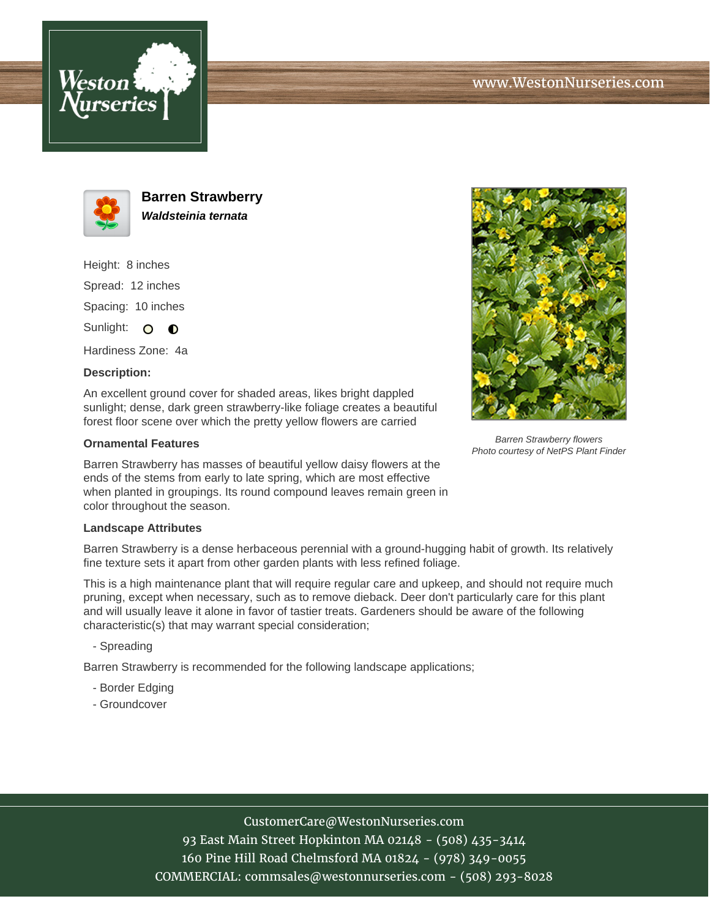



**Barren Strawberry Waldsteinia ternata**

Height: 8 inches Spread: 12 inches Spacing: 10 inches Sunlight: O O

Hardiness Zone: 4a

## **Description:**

An excellent ground cover for shaded areas, likes bright dappled sunlight; dense, dark green strawberry-like foliage creates a beautiful forest floor scene over which the pretty yellow flowers are carried

## **Ornamental Features**

Barren Strawberry has masses of beautiful yellow daisy flowers at the ends of the stems from early to late spring, which are most effective when planted in groupings. Its round compound leaves remain green in color throughout the season.

## **Landscape Attributes**

Barren Strawberry is a dense herbaceous perennial with a ground-hugging habit of growth. Its relatively fine texture sets it apart from other garden plants with less refined foliage.

This is a high maintenance plant that will require regular care and upkeep, and should not require much pruning, except when necessary, such as to remove dieback. Deer don't particularly care for this plant and will usually leave it alone in favor of tastier treats. Gardeners should be aware of the following characteristic(s) that may warrant special consideration;

- Spreading

Barren Strawberry is recommended for the following landscape applications;

- Border Edging
- Groundcover



Barren Strawberry flowers Photo courtesy of NetPS Plant Finder

CustomerCare@WestonNurseries.com

93 East Main Street Hopkinton MA 02148 - (508) 435-3414 160 Pine Hill Road Chelmsford MA 01824 - (978) 349-0055 COMMERCIAL: commsales@westonnurseries.com - (508) 293-8028